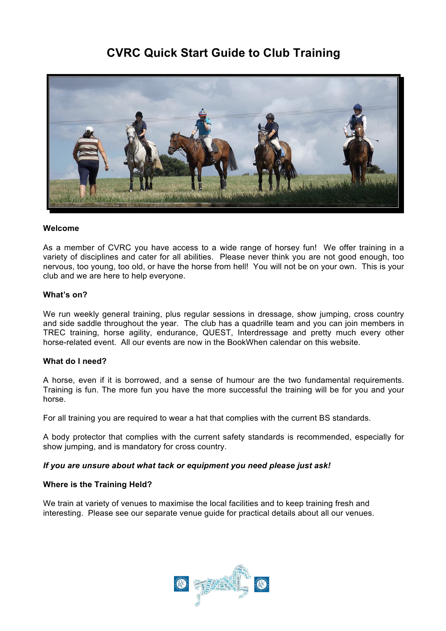# **CVRC Quick Start Guide to Club Training**



## **Welcome**

As a member of CVRC you have access to a wide range of horsey fun! We offer training in a variety of disciplines and cater for all abilities. Please never think you are not good enough, too nervous, too young, too old, or have the horse from hell! You will not be on your own. This is your club and we are here to help everyone.

## **What's on?**

We run weekly general training, plus regular sessions in dressage, show jumping, cross country and side saddle throughout the year. The club has a quadrille team and you can join members in TREC training, horse agility, endurance, QUEST, Interdressage and pretty much every other horse-related event. All our events are now in the BookWhen calendar on this website.

#### **What do I need?**

A horse, even if it is borrowed, and a sense of humour are the two fundamental requirements. Training is fun. The more fun you have the more successful the training will be for you and your horse.

For all training you are required to wear a hat that complies with the current BS standards.

A body protector that complies with the current safety standards is recommended, especially for show jumping, and is mandatory for cross country.

#### *If you are unsure about what tack or equipment you need please just ask!*

#### **Where is the Training Held?**

We train at variety of venues to maximise the local facilities and to keep training fresh and interesting. Please see our separate venue guide for practical details about all our venues.